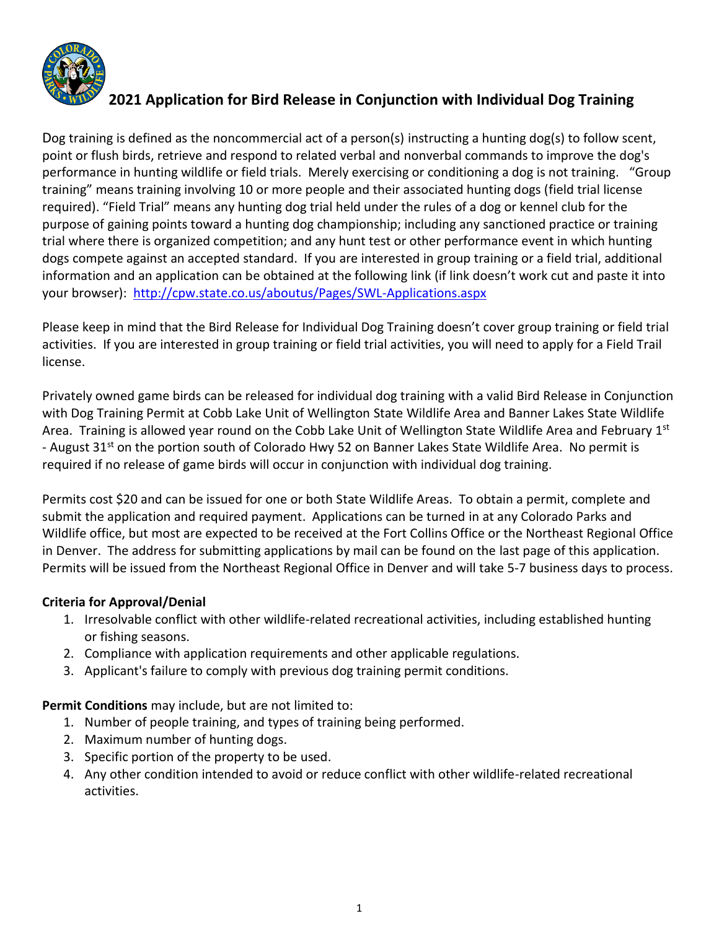

# **2021 Application for Bird Release in Conjunction with Individual Dog Training**

Dog training is defined as the noncommercial act of a person(s) instructing a hunting dog(s) to follow scent, point or flush birds, retrieve and respond to related verbal and nonverbal commands to improve the dog's performance in hunting wildlife or field trials. Merely exercising or conditioning a dog is not training. "Group training" means training involving 10 or more people and their associated hunting dogs (field trial license required). "Field Trial" means any hunting dog trial held under the rules of a dog or kennel club for the purpose of gaining points toward a hunting dog championship; including any sanctioned practice or training trial where there is organized competition; and any hunt test or other performance event in which hunting dogs compete against an accepted standard. If you are interested in group training or a field trial, additional information and an application can be obtained at the following link (if link doesn't work cut and paste it into your browser): <http://cpw.state.co.us/aboutus/Pages/SWL-Applications.aspx>

Please keep in mind that the Bird Release for Individual Dog Training doesn't cover group training or field trial activities. If you are interested in group training or field trial activities, you will need to apply for a Field Trail license.

Privately owned game birds can be released for individual dog training with a valid Bird Release in Conjunction with Dog Training Permit at Cobb Lake Unit of Wellington State Wildlife Area and Banner Lakes State Wildlife Area. Training is allowed year round on the Cobb Lake Unit of Wellington State Wildlife Area and February 1st - August 31<sup>st</sup> on the portion south of Colorado Hwy 52 on Banner Lakes State Wildlife Area. No permit is required if no release of game birds will occur in conjunction with individual dog training.

Permits cost \$20 and can be issued for one or both State Wildlife Areas. To obtain a permit, complete and submit the application and required payment. Applications can be turned in at any Colorado Parks and Wildlife office, but most are expected to be received at the Fort Collins Office or the Northeast Regional Office in Denver. The address for submitting applications by mail can be found on the last page of this application. Permits will be issued from the Northeast Regional Office in Denver and will take 5-7 business days to process.

## **Criteria for Approval/Denial**

- 1. Irresolvable conflict with other wildlife-related recreational activities, including established hunting or fishing seasons.
- 2. Compliance with application requirements and other applicable regulations.
- 3. Applicant's failure to comply with previous dog training permit conditions.

**Permit Conditions** may include, but are not limited to:

- 1. Number of people training, and types of training being performed.
- 2. Maximum number of hunting dogs.
- 3. Specific portion of the property to be used.
- 4. Any other condition intended to avoid or reduce conflict with other wildlife-related recreational activities.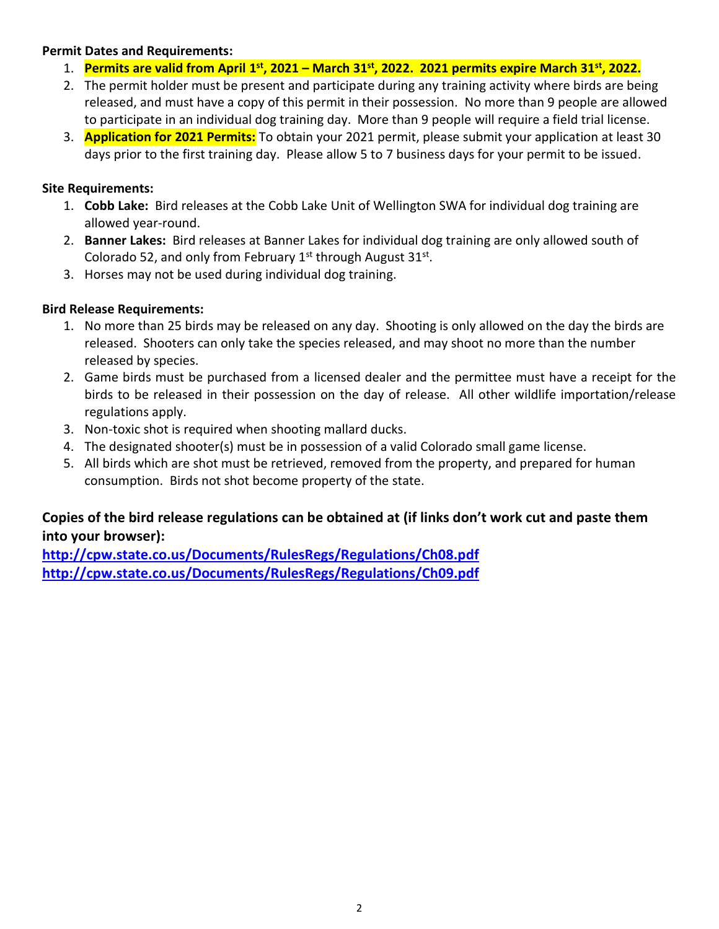#### **Permit Dates and Requirements:**

- 1. **Permits are valid from April 1 st , 2021 – March 31 st, 2022. 2021 permits expire March 31st, 2022.**
- 2. The permit holder must be present and participate during any training activity where birds are being released, and must have a copy of this permit in their possession. No more than 9 people are allowed to participate in an individual dog training day. More than 9 people will require a field trial license.
- 3. **Application for 2021 Permits:** To obtain your 2021 permit, please submit your application at least 30 days prior to the first training day. Please allow 5 to 7 business days for your permit to be issued.

#### **Site Requirements:**

- 1. **Cobb Lake:** Bird releases at the Cobb Lake Unit of Wellington SWA for individual dog training are allowed year-round.
- 2. **Banner Lakes:** Bird releases at Banner Lakes for individual dog training are only allowed south of Colorado 52, and only from February  $1^{st}$  through August 31 $^{st}$ .
- 3. Horses may not be used during individual dog training.

## **Bird Release Requirements:**

- 1. No more than 25 birds may be released on any day. Shooting is only allowed on the day the birds are released. Shooters can only take the species released, and may shoot no more than the number released by species.
- 2. Game birds must be purchased from a licensed dealer and the permittee must have a receipt for the birds to be released in their possession on the day of release. All other wildlife importation/release regulations apply.
- 3. Non-toxic shot is required when shooting mallard ducks.
- 4. The designated shooter(s) must be in possession of a valid Colorado small game license.
- 5. All birds which are shot must be retrieved, removed from the property, and prepared for human consumption. Birds not shot become property of the state.

## **Copies of the bird release regulations can be obtained at (if links don't work cut and paste them into your browser):**

**<http://cpw.state.co.us/Documents/RulesRegs/Regulations/Ch08.pdf> <http://cpw.state.co.us/Documents/RulesRegs/Regulations/Ch09.pdf>**